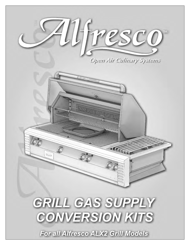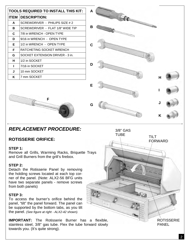| <b>TOOLS REQUIRED TO INSTALL THIS KIT:</b> |                                  |  |  |
|--------------------------------------------|----------------------------------|--|--|
| <b>ITEM</b>                                | <b>DESCRIPTION:</b>              |  |  |
| A                                          | SCREWDRIVER - PHILIPS SIZE # 2   |  |  |
| в                                          | SCREWDRIVER - FLAT 1/8" WIDE TIP |  |  |
| C                                          | 7/8 in WRENCH - OPEN TYPE        |  |  |
| D                                          | 9/16 in WRENCH - OPEN TYPE       |  |  |
| Е                                          | 1/2 in WRENCH - OPEN TYPE        |  |  |
| F                                          | RATCHETING SOCKET WRENCH         |  |  |
| G                                          | SOCKET EXTENSION DRIVER - 3 in.  |  |  |
| н                                          | 1/2 in SOCKET                    |  |  |
| п                                          | 7/16 in SOCKET                   |  |  |
| J                                          | 10 mm SOCKET                     |  |  |
| Κ                                          | 7 mm SOCKET                      |  |  |



**REPLACEMENT PROCEDURE:**

**F** 

# **ROTISSERIE ORIFICE:**

#### **STEP 1:**

Remove all Grills, Warming Racks, Briquette Trays and Grill Burners from the grill's firebox.

#### **STEP 2:**

Detach the Rotisserie Panel by removing the holding screws located at each top corner of the panel. (Note: ALX2-56 BFG units have two separate panels - remove screws from both panels)

#### **STEP 3:**

To access the burner's orifice behind the panel, "tilt" the panel forward. The panel can be supported by the bottom tabs, as you tilt the panel. (See figure at right - ALX2-42 shown).

**IMPORTANT:** The Rotisserie Burner has a flexible, stainless steel, 3/8" gas tube. Flex the tube forward slowly towards you. (It's quite strong).

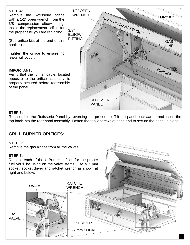# **STEP 4:**

Remove the Rotisserie orifice with a 1/2" open wrench from the 3/8" compression elbow fitting. Install the replacement orifice for the proper fuel you are replacing.

(See orifice kits at the end of this booklet).

Tighten the orifice to ensure no leaks will occur.

## **IMPORTANT:**

Verify that the igniter cable, located opposite to the orifice assembly, is properly secured before reassembly of the panel.



## **STEP 5:**

Reassemble the Rotisserie Panel by reversing the procedure. Tilt the panel backwards, and insert the top back into the rear hood assembly. Fasten the top 2 screws at each end to secure the panel in place.

# **GRILL BURNER ORIFICES:**

#### **STEP 6:**

Remove the gas Knobs from all the valves.

#### **STEP 7:**

Replace each of the U-Burner orifices for the proper fuel you'll be using on the valve stems. Use a 7 mm socket, socket driver and ratchet wrench as shown at right and below.

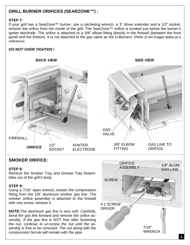# **GRILL BURNER ORIFICES (SEARZONE™) :**

#### **STEP 7:**

If your grill has a SearZone™ burner, use a ratcheting wrench, a 3" driver extender and a 1/2" socket, remove the orifice from the inside of the grill. The SearZone™ orifice is located just below the burner's igniter electrode. The orifice is attached to a 3/8" elbow fitting directly in the firewall (between the front panel and the firebox). It is not attached to the gas valve as the U-Burners. (Refer to the images below as a reference).

## **DO NOT OVER TIGHTEN !**



## **SMOKER ORIFICE:**

#### **STEP 8:**

Remove the Smoker Tray and Grease Tray Assemblies out of the grill's body.

## **STEP 9:**

Using a 7/16" open wrench, loosen the compression fitting from the 1/8" aluminum smoker gas line. The smoker orifice assembly is attached to the firewall with one screw, remove it.

**NOTE:**The aluminum gas line is very soft. Carefully, bend the gas line forward and remove the orifice assembly. If the gas line is NOT free after loosening the nut, continue to un-screw the nut until the assembly is free to be removed. The nut along with the compression ferrule will remain with the pipe.

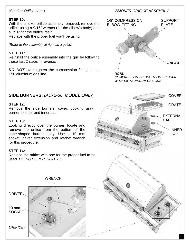## (Smoker Orifice cont.)

## **STEP 10:**

With the smoker orifice assembly removed, remove the orifice using a 9/16" wrench (for the elbow's body) and a 7/16" for the orifice itself.

Replace with the proper fuel you'll be using.

(Refer to the assembly at right as a guide)

#### **STEP 11:**

Reinstall the orifice assembly into the grill by following these last 2 steps in reverse.

**DO NOT** over tighten the compression fitting to the 1/8" aluminum gas line.

#### SMOKER ORIFICE ASSEMBLY



COMPRESSION FITTING MIGHT REMAIN WITH 1/8" ALUMINUM GAS LINE

# **SIDE BURNERS:** (ALX2-56 MODEL ONLY)

#### **STEP 12:**

Remove the side burners' cover, cooking grate burner exterior and inner cap.

#### **STEP 13:**

Looking directly over the burner, locate and remove the orifice from the bottom of the cone-shaped burner body. Use a 10 mm socket, driver extension and ratchet wrench for this procedure.

#### **STEP 14:**

Replace the orifice with one for the proper fuel to be used. DO NOT OVER TIGHTEN!



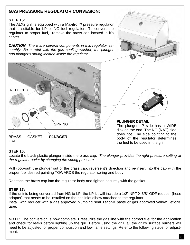# **GAS PRESSURE REGULATOR CONVESION:**

# **STEP 15:**

The ALX2 grill is equipped with a Maxitrol™ pressure regulator that is suitable for LP or NG fuel regulation. To convert the regulator to proper fuel, remove the brass cap located in it's center.

**CAUTION:** There are several components in this regulator assembly. Be careful with the gas sealing washer, the plunger and plunger's spring located inside the regulator.



**BRASS CAP** 

GASKET **PLUNGER** 

**PLUNGER DETAIL:** The plunger LP side has a WIDE disk on the end. The NG (NAT) side does not. The side pointing to the body of the regulator determines

the fuel to be used in the grill.

# **STEP 16:**

Locate the black plastic plunger inside the brass cap. The plunger provides the right pressure setting at the regulator outlet by changing the spring pressure.

Pull (pop-out) the plunger out of the brass cap, reverse it's direction and re-insert into the cap with the proper fuel desired pointing TOWARDS the regulator spring and body.

Reattach the brass cap into the regulator body and tighten securely with the gasket.

## **STEP 17:**

If the unit is being converted from NG to LP, the LP kit will include a 1/2" NPT X 3/8" ODF reducer (hose adapter) that needs to be installed on the gas inlet elbow attached to the regulator. Install with reducer with a gas approved plumbing seal Teflon® paste or gas approved yellow Teflon® tape.

**NOTE:** The conversion is now complete. Pressurize the gas line with the correct fuel for the application and check for leaks before lighting up the grill. Before using the grill, all the grill's surface burners will need to be adjusted for proper combustion and low flame settings. Refer to the following steps for adjustment.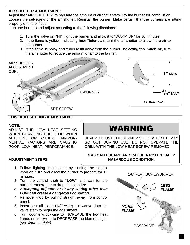# **AIR SHUTTER ADJUSTMENT:**

Adjust the "AIR SHUTTER" to regulate the amount of air that enters into the burner for combustion. Loosen the set-screw of the air shutter. Reinstall the burner. Make certain that the burners are sitting properly on the orifices.

Light the burners and adjust according to the following directions:

- 1. Turn the valve on **"HI"**, light the burner and allow it to "WARM UP" for 10 minutes.
- 2. If the flame is yellow, indicating **insufficient** air, turn the air shutter to allow more air to the burner.
- 3. If the flame is noisy and tends to lift away from the burner, indicating **too much** air, turn the air shutter to reduce the amount of air to the burner.



#### **NOTE:**

ADJUST THE LOW HEAT SETTING WHEN CHANGING FUELS OR WHEN ALTITUDE OR OTHER ENVIRON-MENTAL FACTORS ARE CAUSING POOR, LOW HEAT, PERFORMANCE.

# WARNING

NEVER ADJUST THE BURNER SO LOW THAT IT MAY GO OUT DURING USE. DO NOT OPERATE THE GRILL WITH THE LOW HEAT SCREW REMOVED.

**GAS CAN ESCAPE AND CAUSE A POTENTIALLY HAZARDOUS CONDITION.**

# **ADJUSTMENT STEPS:**

- 1. Follow lighting instructions by setting the control knob on **"HI"** and allow the burner to preheat for 10 minutes.
- 2. Turn the control knob to **"LOW"** and wait for the burner temperature to drop and stabilize.
- **3. Attempting adjustment at any setting other than LOW can create a dangerous condition.**
- 4. Remove knob by pulling straight away from control panel.
- 5. Insert a small blade (1/8" wide) screwdriver into the valve stem to begin the adjustment.
- 6. Turn counter-clockwise to INCREASE the low heat flame, or clockwise to DECREASE the blame height. (see figure at right).